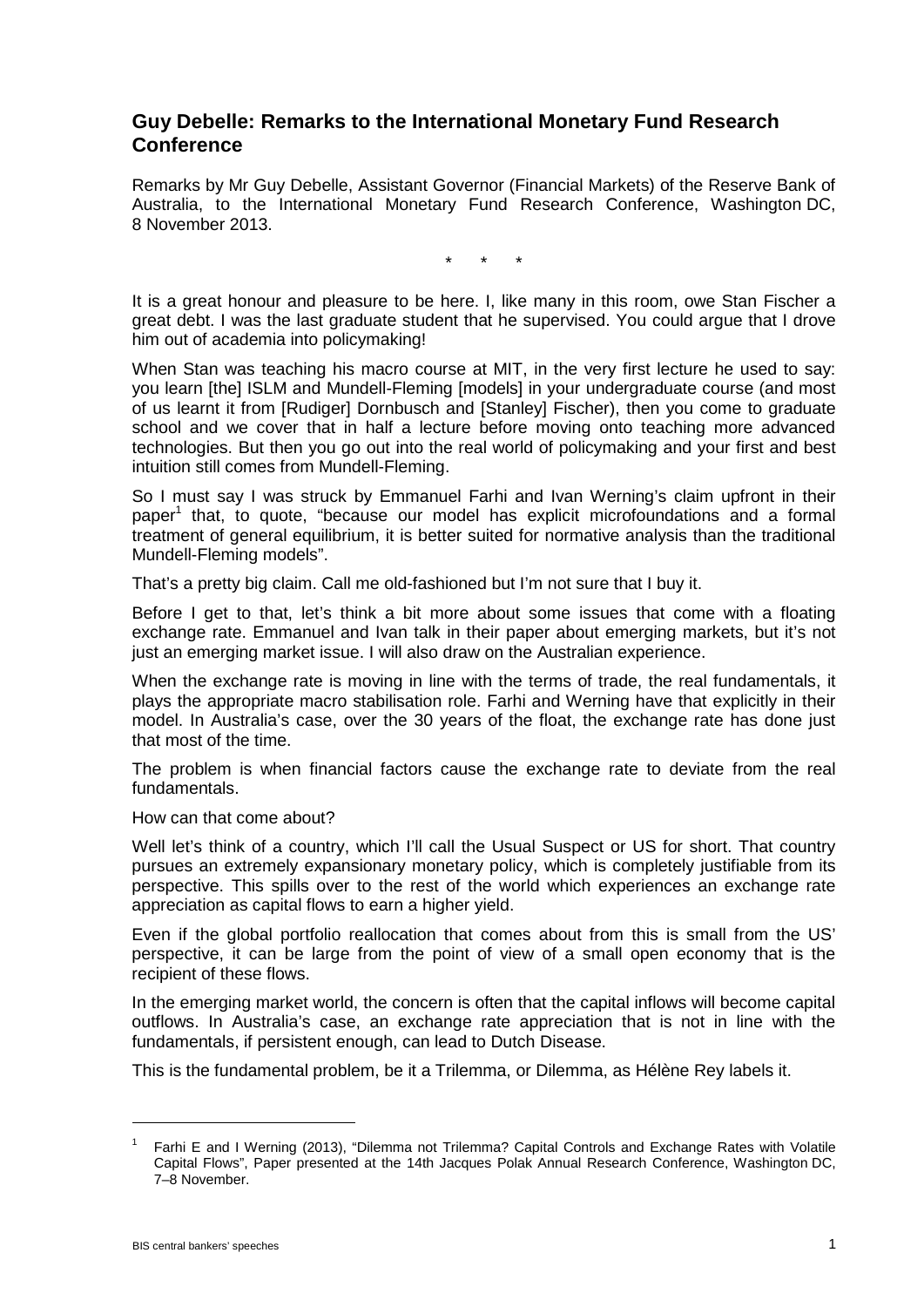## **Guy Debelle: Remarks to the International Monetary Fund Research Conference**

Remarks by Mr Guy Debelle, Assistant Governor (Financial Markets) of the Reserve Bank of Australia, to the International Monetary Fund Research Conference, Washington DC, 8 November 2013.

\* \* \*

It is a great honour and pleasure to be here. I, like many in this room, owe Stan Fischer a great debt. I was the last graduate student that he supervised. You could argue that I drove him out of academia into policymaking!

When Stan was teaching his macro course at MIT, in the very first lecture he used to say: you learn [the] ISLM and Mundell-Fleming [models] in your undergraduate course (and most of us learnt it from [Rudiger] Dornbusch and [Stanley] Fischer), then you come to graduate school and we cover that in half a lecture before moving onto teaching more advanced technologies. But then you go out into the real world of policymaking and your first and best intuition still comes from Mundell-Fleming.

So I must say I was struck by Emmanuel Farhi and Ivan Werning's claim upfront in their paper<sup>1</sup> that, to quote, "because our model has explicit microfoundations and a formal treatment of general equilibrium, it is better suited for normative analysis than the traditional Mundell-Fleming models".

That's a pretty big claim. Call me old-fashioned but I'm not sure that I buy it.

Before I get to that, let's think a bit more about some issues that come with a floating exchange rate. Emmanuel and Ivan talk in their paper about emerging markets, but it's not just an emerging market issue. I will also draw on the Australian experience.

When the exchange rate is moving in line with the terms of trade, the real fundamentals, it plays the appropriate macro stabilisation role. Farhi and Werning have that explicitly in their model. In Australia's case, over the 30 years of the float, the exchange rate has done just that most of the time.

The problem is when financial factors cause the exchange rate to deviate from the real fundamentals.

How can that come about?

Well let's think of a country, which I'll call the Usual Suspect or US for short. That country pursues an extremely expansionary monetary policy, which is completely justifiable from its perspective. This spills over to the rest of the world which experiences an exchange rate appreciation as capital flows to earn a higher yield.

Even if the global portfolio reallocation that comes about from this is small from the US' perspective, it can be large from the point of view of a small open economy that is the recipient of these flows.

In the emerging market world, the concern is often that the capital inflows will become capital outflows. In Australia's case, an exchange rate appreciation that is not in line with the fundamentals, if persistent enough, can lead to Dutch Disease.

This is the fundamental problem, be it a Trilemma, or Dilemma, as Hélène Rey labels it.

-

Farhi E and I Werning (2013), "Dilemma not Trilemma? Capital Controls and Exchange Rates with Volatile Capital Flows", Paper presented at the 14th Jacques Polak Annual Research Conference, Washington DC, 7–8 November.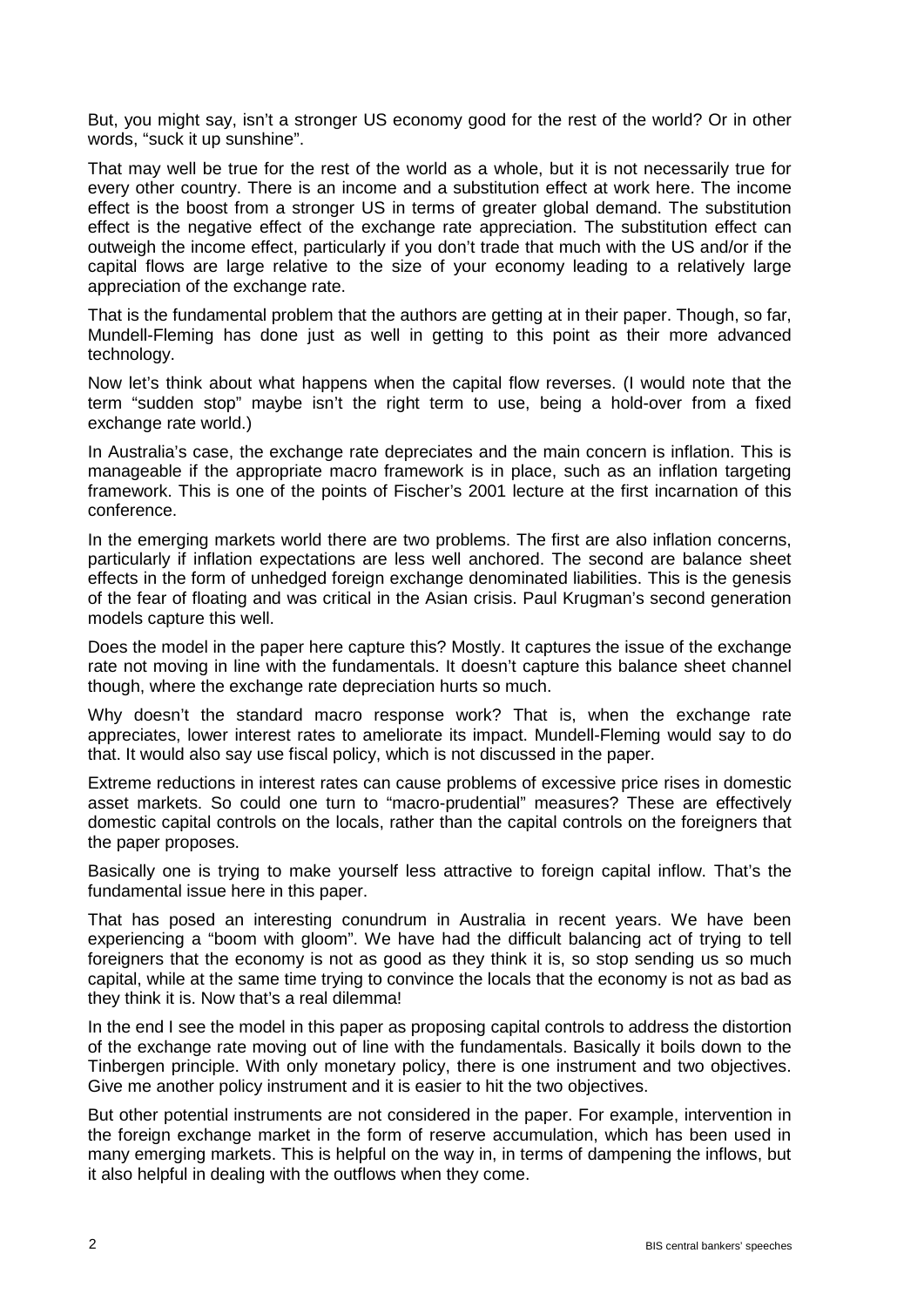But, you might say, isn't a stronger US economy good for the rest of the world? Or in other words, "suck it up sunshine".

That may well be true for the rest of the world as a whole, but it is not necessarily true for every other country. There is an income and a substitution effect at work here. The income effect is the boost from a stronger US in terms of greater global demand. The substitution effect is the negative effect of the exchange rate appreciation. The substitution effect can outweigh the income effect, particularly if you don't trade that much with the US and/or if the capital flows are large relative to the size of your economy leading to a relatively large appreciation of the exchange rate.

That is the fundamental problem that the authors are getting at in their paper. Though, so far, Mundell-Fleming has done just as well in getting to this point as their more advanced technology.

Now let's think about what happens when the capital flow reverses. (I would note that the term "sudden stop" maybe isn't the right term to use, being a hold-over from a fixed exchange rate world.)

In Australia's case, the exchange rate depreciates and the main concern is inflation. This is manageable if the appropriate macro framework is in place, such as an inflation targeting framework. This is one of the points of Fischer's 2001 lecture at the first incarnation of this conference.

In the emerging markets world there are two problems. The first are also inflation concerns, particularly if inflation expectations are less well anchored. The second are balance sheet effects in the form of unhedged foreign exchange denominated liabilities. This is the genesis of the fear of floating and was critical in the Asian crisis. Paul Krugman's second generation models capture this well.

Does the model in the paper here capture this? Mostly. It captures the issue of the exchange rate not moving in line with the fundamentals. It doesn't capture this balance sheet channel though, where the exchange rate depreciation hurts so much.

Why doesn't the standard macro response work? That is, when the exchange rate appreciates, lower interest rates to ameliorate its impact. Mundell-Fleming would say to do that. It would also say use fiscal policy, which is not discussed in the paper.

Extreme reductions in interest rates can cause problems of excessive price rises in domestic asset markets. So could one turn to "macro-prudential" measures? These are effectively domestic capital controls on the locals, rather than the capital controls on the foreigners that the paper proposes.

Basically one is trying to make yourself less attractive to foreign capital inflow. That's the fundamental issue here in this paper.

That has posed an interesting conundrum in Australia in recent years. We have been experiencing a "boom with gloom". We have had the difficult balancing act of trying to tell foreigners that the economy is not as good as they think it is, so stop sending us so much capital, while at the same time trying to convince the locals that the economy is not as bad as they think it is. Now that's a real dilemma!

In the end I see the model in this paper as proposing capital controls to address the distortion of the exchange rate moving out of line with the fundamentals. Basically it boils down to the Tinbergen principle. With only monetary policy, there is one instrument and two objectives. Give me another policy instrument and it is easier to hit the two objectives.

But other potential instruments are not considered in the paper. For example, intervention in the foreign exchange market in the form of reserve accumulation, which has been used in many emerging markets. This is helpful on the way in, in terms of dampening the inflows, but it also helpful in dealing with the outflows when they come.